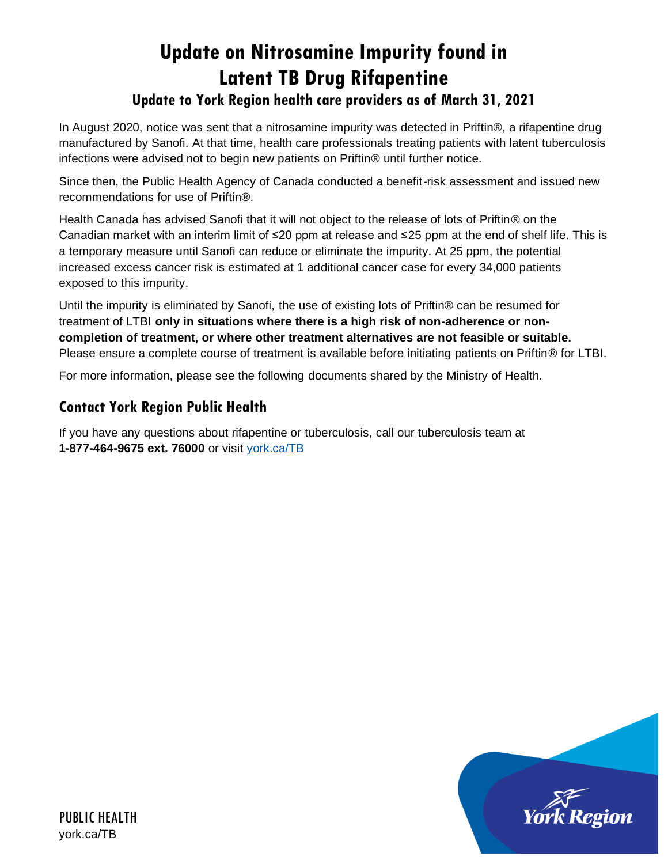# **Update on Nitrosamine Impurity found in Latent TB Drug Rifapentine**

# **Update to York Region health care providers as of March 31, 2021**

In August 2020, notice was sent that a nitrosamine impurity was detected in Priftin®, a rifapentine drug manufactured by Sanofi. At that time, health care professionals treating patients with latent tuberculosis infections were advised not to begin new patients on Priftin® until further notice.

Since then, the Public Health Agency of Canada conducted a benefit-risk assessment and issued new recommendations for use of Priftin®.

Health Canada has advised Sanofi that it will not object to the release of lots of Priftin<sup>®</sup> on the Canadian market with an interim limit of ≤20 ppm at release and ≤25 ppm at the end of shelf life. This is a temporary measure until Sanofi can reduce or eliminate the impurity. At 25 ppm, the potential increased excess cancer risk is estimated at 1 additional cancer case for every 34,000 patients exposed to this impurity.

Until the impurity is eliminated by Sanofi, the use of existing lots of Priftin® can be resumed for treatment of LTBI **only in situations where there is a high risk of non-adherence or noncompletion of treatment, or where other treatment alternatives are not feasible or suitable.** Please ensure a complete course of treatment is available before initiating patients on Priftin® for LTBI.

For more information, please see the following documents shared by the Ministry of Health.

# **Contact York Region Public Health**

If you have any questions about rifapentine or tuberculosis, call our tuberculosis team at **1-877-464-9675 ext. 76000** or visit [york.ca/TB](http://york.ca/TB)

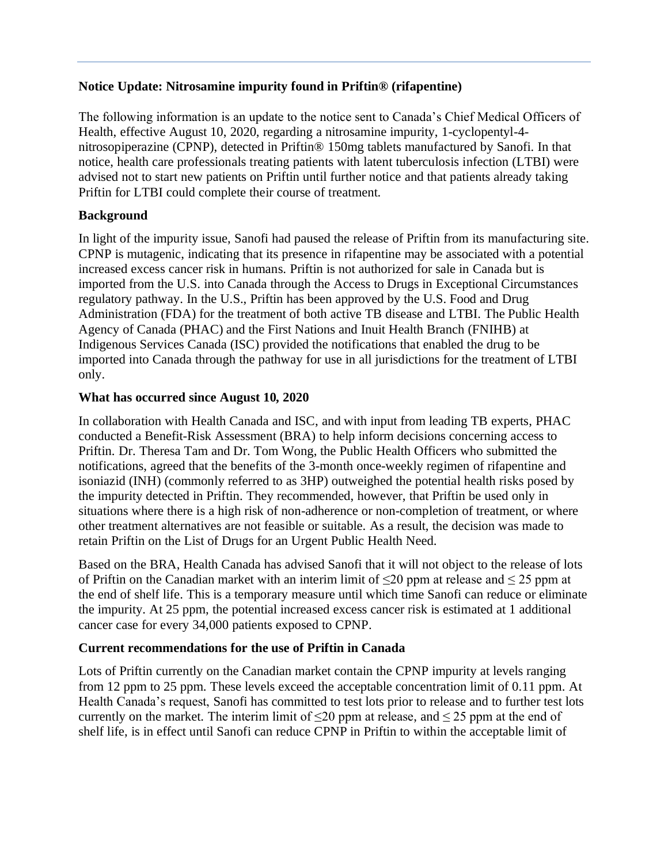# **Notice Update: Nitrosamine impurity found in Priftin® (rifapentine)**

The following information is an update to the notice sent to Canada's Chief Medical Officers of Health, effective August 10, 2020, regarding a nitrosamine impurity, 1-cyclopentyl-4 nitrosopiperazine (CPNP), detected in Priftin® 150mg tablets manufactured by Sanofi. In that notice, health care professionals treating patients with latent tuberculosis infection (LTBI) were advised not to start new patients on Priftin until further notice and that patients already taking Priftin for LTBI could complete their course of treatment.

# **Background**

In light of the impurity issue, Sanofi had paused the release of Priftin from its manufacturing site. CPNP is mutagenic, indicating that its presence in rifapentine may be associated with a potential increased excess cancer risk in humans. Priftin is not authorized for sale in Canada but is imported from the U.S. into Canada through the Access to Drugs in Exceptional Circumstances regulatory pathway. In the U.S., Priftin has been approved by the U.S. Food and Drug Administration (FDA) for the treatment of both active TB disease and LTBI. The Public Health Agency of Canada (PHAC) and the First Nations and Inuit Health Branch (FNIHB) at Indigenous Services Canada (ISC) provided the notifications that enabled the drug to be imported into Canada through the pathway for use in all jurisdictions for the treatment of LTBI only.

## **What has occurred since August 10, 2020**

In collaboration with Health Canada and ISC, and with input from leading TB experts, PHAC conducted a Benefit-Risk Assessment (BRA) to help inform decisions concerning access to Priftin. Dr. Theresa Tam and Dr. Tom Wong, the Public Health Officers who submitted the notifications, agreed that the benefits of the 3-month once-weekly regimen of rifapentine and isoniazid (INH) (commonly referred to as 3HP) outweighed the potential health risks posed by the impurity detected in Priftin. They recommended, however, that Priftin be used only in situations where there is a high risk of non-adherence or non-completion of treatment, or where other treatment alternatives are not feasible or suitable. As a result, the decision was made to retain Priftin on the List of Drugs for an Urgent Public Health Need.

Based on the BRA, Health Canada has advised Sanofi that it will not object to the release of lots of Priftin on the Canadian market with an interim limit of  $\leq$ 20 ppm at release and  $\leq$  25 ppm at the end of shelf life. This is a temporary measure until which time Sanofi can reduce or eliminate the impurity. At 25 ppm, the potential increased excess cancer risk is estimated at 1 additional cancer case for every 34,000 patients exposed to CPNP.

# **Current recommendations for the use of Priftin in Canada**

Lots of Priftin currently on the Canadian market contain the CPNP impurity at levels ranging from 12 ppm to 25 ppm. These levels exceed the acceptable concentration limit of 0.11 ppm. At Health Canada's request, Sanofi has committed to test lots prior to release and to further test lots currently on the market. The interim limit of  $\leq 20$  ppm at release, and  $\leq 25$  ppm at the end of shelf life, is in effect until Sanofi can reduce CPNP in Priftin to within the acceptable limit of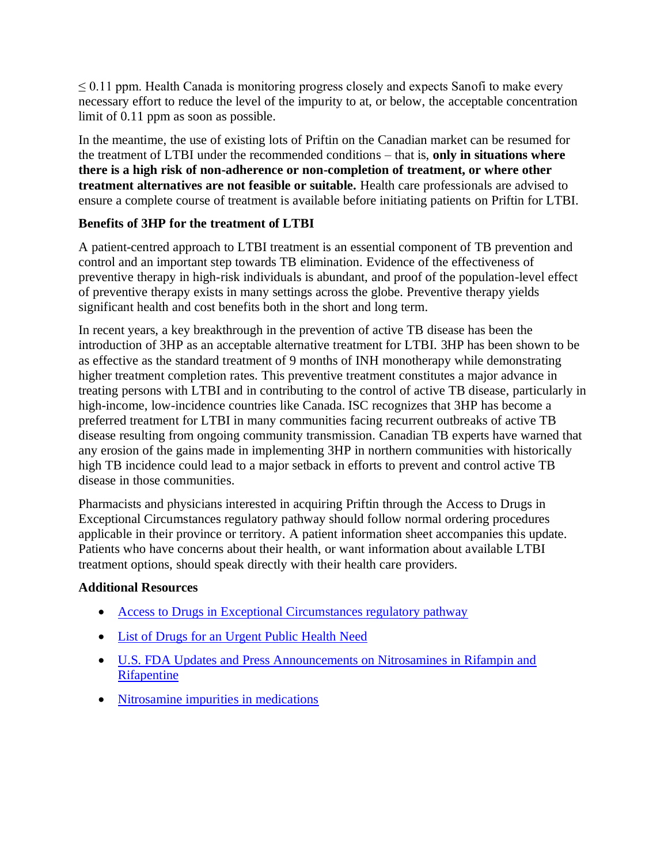$\leq$  0.11 ppm. Health Canada is monitoring progress closely and expects Sanofi to make every necessary effort to reduce the level of the impurity to at, or below, the acceptable concentration limit of 0.11 ppm as soon as possible.

In the meantime, the use of existing lots of Priftin on the Canadian market can be resumed for the treatment of LTBI under the recommended conditions – that is, **only in situations where there is a high risk of non-adherence or non-completion of treatment, or where other treatment alternatives are not feasible or suitable.** Health care professionals are advised to ensure a complete course of treatment is available before initiating patients on Priftin for LTBI.

# **Benefits of 3HP for the treatment of LTBI**

A patient-centred approach to LTBI treatment is an essential component of TB prevention and control and an important step towards TB elimination. Evidence of the effectiveness of preventive therapy in high-risk individuals is abundant, and proof of the population-level effect of preventive therapy exists in many settings across the globe. Preventive therapy yields significant health and cost benefits both in the short and long term.

In recent years, a key breakthrough in the prevention of active TB disease has been the introduction of 3HP as an acceptable alternative treatment for LTBI. 3HP has been shown to be as effective as the standard treatment of 9 months of INH monotherapy while demonstrating higher treatment completion rates. This preventive treatment constitutes a major advance in treating persons with LTBI and in contributing to the control of active TB disease, particularly in high-income, low-incidence countries like Canada. ISC recognizes that 3HP has become a preferred treatment for LTBI in many communities facing recurrent outbreaks of active TB disease resulting from ongoing community transmission. Canadian TB experts have warned that any erosion of the gains made in implementing 3HP in northern communities with historically high TB incidence could lead to a major setback in efforts to prevent and control active TB disease in those communities.

Pharmacists and physicians interested in acquiring Priftin through the Access to Drugs in Exceptional Circumstances regulatory pathway should follow normal ordering procedures applicable in their province or territory. A patient information sheet accompanies this update. Patients who have concerns about their health, or want information about available LTBI treatment options, should speak directly with their health care providers.

### **Additional Resources**

- [Access to Drugs in Exceptional Circumstances regulatory pathway](https://www.canada.ca/en/health-canada/services/drugs-health-products/access-drugs-exceptional-circumstances.html)
- [List of Drugs for an Urgent Public Health Need](https://www.canada.ca/en/health-canada/services/drugs-health-products/access-drugs-exceptional-circumstances/list-drugs-urgent-public-health-need.html)
- [U.S. FDA Updates and Press Announcements on Nitrosamines in Rifampin and](https://www.fda.gov/drugs/drug-safety-and-availability/fda-updates-and-press-announcements-nitrosamines-rifampin-and-rifapentine)  [Rifapentine](https://www.fda.gov/drugs/drug-safety-and-availability/fda-updates-and-press-announcements-nitrosamines-rifampin-and-rifapentine)
- [Nitrosamine impurities in medications](https://www.canada.ca/en/health-canada/services/drugs-health-products/compliance-enforcement/information-health-product/drugs/nitrosamine-impurities.html)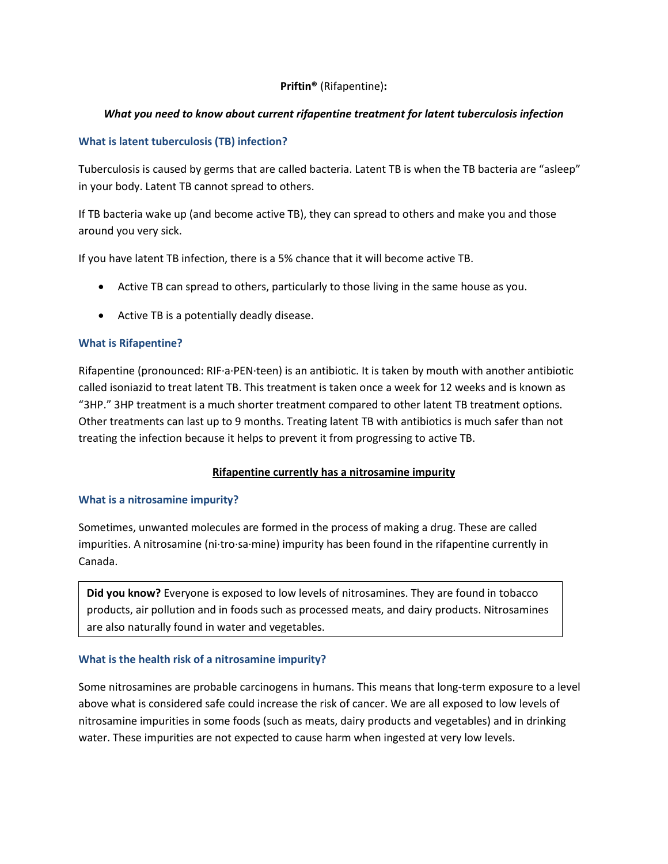#### **Priftin®** (Rifapentine)**:**

#### *What you need to know about current rifapentine treatment for latent tuberculosis infection*

#### **What is latent tuberculosis (TB) infection?**

Tuberculosis is caused by germs that are called bacteria. Latent TB is when the TB bacteria are "asleep" in your body. Latent TB cannot spread to others.

If TB bacteria wake up (and become active TB), they can spread to others and make you and those around you very sick.

If you have latent TB infection, there is a 5% chance that it will become active TB.

- Active TB can spread to others, particularly to those living in the same house as you.
- Active TB is a potentially deadly disease.

#### **What is Rifapentine?**

Rifapentine (pronounced: RIF·a·PEN·teen) is an antibiotic. It is taken by mouth with another antibiotic called isoniazid to treat latent TB. This treatment is taken once a week for 12 weeks and is known as "3HP." 3HP treatment is a much shorter treatment compared to other latent TB treatment options. Other treatments can last up to 9 months. Treating latent TB with antibiotics is much safer than not treating the infection because it helps to prevent it from progressing to active TB.

#### **Rifapentine currently has a nitrosamine impurity**

#### **What is a nitrosamine impurity?**

Sometimes, unwanted molecules are formed in the process of making a drug. These are called impurities. A nitrosamine (ni·tro·sa·mine) impurity has been found in the rifapentine currently in Canada.

**Did you know?** Everyone is exposed to low levels of nitrosamines. They are found in tobacco products, air pollution and in foods such as processed meats, and dairy products. Nitrosamines are also naturally found in water and vegetables.

#### **What is the health risk of a nitrosamine impurity?**

Some nitrosamines are probable carcinogens in humans. This means that long-term exposure to a level above what is considered safe could increase the risk of cancer. We are all exposed to low levels of nitrosamine impurities in some foods (such as meats, dairy products and vegetables) and in drinking water. These impurities are not expected to cause harm when ingested at very low levels.